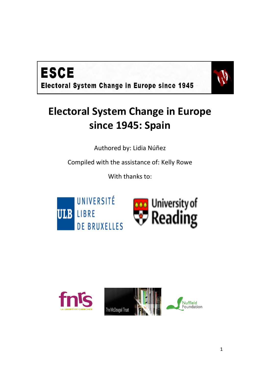



# **Electoral System Change in Europe since 1945: Spain**

Authored by: Lidia Núñez

Compiled with the assistance of: Kelly Rowe

With thanks to:





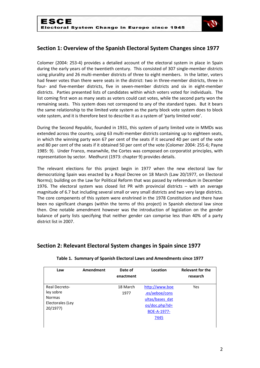

# **Section 1: Overview of the Spanish Electoral System Changes since 1977**

Colomer (2004: 253-4) provides a detailed account of the electoral system in place in Spain during the early years of the twentieth century. This consisted of 307 single-member districts using plurality and 26 multi-member districts of three to eight members. In the latter, voters had fewer votes than there were seats in the district: two in three-member districts, three in four- and five-member districts, five in seven-member districts and six in eight-member districts. Parties presented lists of candidates within which voters voted for individuals. The list coming first won as many seats as voters could cast votes, while the second party won the remaining seats. This system does not correspond to any of the standard types. But it bears the same relationship to the limited vote system as the party block vote system does to block vote system, and it is therefore best to describe it as a system of 'party limited vote'.

During the Second Republic, founded in 1931, this system of party limited vote in MMDs was extended across the country, using 63 multi-member districts containing up to eighteen seats, in which the winning party won 67 per cent of the seats if it secured 40 per cent of the vote and 80 per cent of the seats if it obtained 50 per cent of the vote (Colomer 2004: 255-6; Payne 1985: 9). Under Franco, meanwhile, the Cortes was composed on corporatist principles, with representation by sector. Medhurst (1973: chapter 9) provides details.

The relevant elections for this project begin in 1977 when the new electoral law for democratizing Spain was enacted by a Royal Decree on 18 March (Law 20/1977, on Electoral Norms); building on the Law for Political Reform that was passed by referendum in December 1976. The electoral system was closed list PR with provincial districts – with an average magnitude of 6.7 but including several small or very small districts and two very large districts. The core compenents of this system were enshrined in the 1978 Constitution and there have been no significant changes (within the terms of this project) in Spanish electoral law since then. One notable amendment however was the introduction of legislation on the gender balance of party lists specifying that neither gender can comprise less than 40% of a party district list in 2007.

### **Section 2: Relevant Electoral System changes in Spain since 1977**

| Law                                                                         | Amendment | Date of<br>enactment | Location                                                                                         | <b>Relevant for the</b><br>research |
|-----------------------------------------------------------------------------|-----------|----------------------|--------------------------------------------------------------------------------------------------|-------------------------------------|
| Real Decreto-<br>ley sobre<br><b>Normas</b><br>Electorales (Ley<br>20/1977) |           | 18 March<br>1977     | http://www.boe<br>.es/aeboe/cons<br>ultas/bases dat<br>$\cos/doc.php?id=$<br>BOE-A-1977-<br>7445 | Yes                                 |

#### **Table 1. Summary of Spanish Electoral Laws and Amendments since 1977**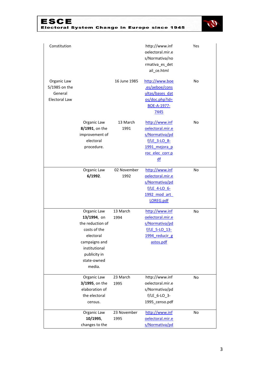# ESCE<br>Electoral System Change in Europe since 1945



| Constitution                                                    |                                                                                                                                                        |                     | http://www.inf<br>oelectoral.mir.e<br>s/Normativa/no<br>rmativa_es_det<br>ail ce.html                            | Yes |
|-----------------------------------------------------------------|--------------------------------------------------------------------------------------------------------------------------------------------------------|---------------------|------------------------------------------------------------------------------------------------------------------|-----|
| Organic Law<br>5/1985 on the<br>General<br><b>Electoral Law</b> |                                                                                                                                                        | 16 June 1985        | http://www.boe<br>.es/aeboe/cons<br>ultas/bases dat<br>os/doc.php?id=<br>BOE-A-1977-<br>7445                     | No  |
|                                                                 | Organic Law<br>8/1991, on the<br>improvement of<br>electoral<br>procedure.                                                                             | 13 March<br>1991    | http://www.inf<br>oelectoral.mir.e<br>s/Normativa/pd<br>$f/LE$ 3-LO 8-<br>1991 mejora p<br>roc elec corr.p<br>df | No  |
|                                                                 | Organic Law<br>6/1992.                                                                                                                                 | 02 November<br>1992 | http://www.inf<br>oelectoral.mir.e<br>s/Normativa/pd<br>$f/LE$ 4-LO 6-<br>1992 mod art<br>LOREG.pdf              | No  |
|                                                                 | Organic Law<br>13/1994, on<br>the reduction of<br>costs of the<br>electoral<br>campaigns and<br>institutional<br>publicity in<br>state-owned<br>media. | 13 March<br>1994    | http://www.inf<br>oelectoral.mir.e<br>s/Normativa/pd<br>f/LE 5-LO 13-<br>1994 reducir g<br>astos.pdf             | No  |
|                                                                 | Organic Law<br>3/1995, on the<br>elaboration of<br>the electoral<br>census.                                                                            | 23 March<br>1995    | http://www.inf<br>oelectoral.mir.e<br>s/Normativa/pd<br>$f/LE_6$ -LO $_3$ -<br>1995_censo.pdf                    | No  |
|                                                                 | Organic Law<br>10/1995,<br>changes to the                                                                                                              | 23 November<br>1995 | http://www.inf<br>oelectoral.mir.e<br>s/Normativa/pd                                                             | No  |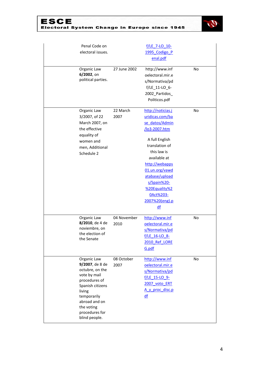# ESCE<br>Electoral System Change in Europe since 1945



| Penal Code on<br>electoral issues.                                                                                                                                                                |                     | f/LE 7-LO 10-<br>1995 Codigo P<br>enal.pdf                                                                                                                                                                                                                            |           |
|---------------------------------------------------------------------------------------------------------------------------------------------------------------------------------------------------|---------------------|-----------------------------------------------------------------------------------------------------------------------------------------------------------------------------------------------------------------------------------------------------------------------|-----------|
| Organic Law<br>6/2002, on<br>political parties.                                                                                                                                                   | 27 June 2002        | http://www.inf<br>oelectoral.mir.e<br>s/Normativa/pd<br>$f/LE_111-LO_6$ -<br>2002_Partidos_<br>Politicos.pdf                                                                                                                                                          | No        |
| Organic Law<br>3/2007, of 22<br>March 2007, on<br>the effective<br>equality of<br>women and<br>men, Additional<br>Schedule 2                                                                      | 22 March<br>2007    | http://noticias.j<br>uridicas.com/ba<br>se datos/Admin<br>/lo3-2007.htm<br>A full English<br>translation of<br>this law is<br>available at<br>http://webapps<br>01.un.org/vawd<br>atabase/upload<br>s/Spain%20-<br>%20Equality%2<br>0Act%203-<br>2007%20(eng).p<br>df | No        |
| Organic Law<br>8/2010, de 4 de<br>noviembre, on<br>the election of<br>the Senate                                                                                                                  | 04 November<br>2010 | http://www.inf<br>oelectoral.mir.e<br>s/Normativa/pd<br>f/LE 16-LO 8-<br>2010 Ref LORE<br>G.pdf                                                                                                                                                                       | No        |
| Organic Law<br>9/2007, de 8 de<br>octubre, on the<br>vote by mail<br>procedures of<br>Spanish citizens<br>living<br>temporarily<br>abroad and on<br>the voting<br>procedures for<br>blind people. | 08 October<br>2007  | http://www.inf<br>oelectoral.mir.e<br>s/Normativa/pd<br>f/LE 15-LO 9-<br>2007 voto ERT<br>A y proc disc.p<br>df                                                                                                                                                       | <b>No</b> |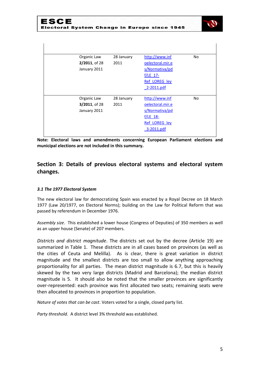

| Organic Law   | 28 January | http://www.inf   | <b>No</b>      |
|---------------|------------|------------------|----------------|
| 2/2011, of 28 | 2011       | oelectoral.mir.e |                |
| January 2011  |            | s/Normativa/pd   |                |
|               |            | $f/LE$ 17-       |                |
|               |            | Ref LOREG ley    |                |
|               |            | 2-2011.pdf       |                |
|               |            |                  |                |
|               |            |                  |                |
| Organic Law   | 28 January | http://www.inf   | N <sub>o</sub> |
| 3/2011, of 28 | 2011       | oelectoral.mir.e |                |
| January 2011  |            | s/Normativa/pd   |                |
|               |            | $f/LE$ 18-       |                |
|               |            | Ref LOREG ley    |                |
|               |            | 3-2011.pdf       |                |

**Note: Electoral laws and amendments concerning European Parliament elections and municipal elections are not included in this summary.**

# **Section 3: Details of previous electoral systems and electoral system changes.**

#### *3.1 The 1977 Electoral System*

The new electoral law for democratizing Spain was enacted by a Royal Decree on 18 March 1977 (Law 20/1977, on Electoral Norms); building on the Law for Political Reform that was passed by referendum in December 1976.

*Assembly size*. This established a lower house (Congress of Deputies) of 350 members as well as an upper house (Senate) of 207 members.

*Districts and district magnitude*. The districts set out by the decree (Article 19) are summarized in Table 1. These districts are in all cases based on provinces (as well as the cities of Ceuta and Melilla). As is clear, there is great variation in district magnitude and the smallest districts are too small to allow anything approaching proportionality for all parties. The mean district magnitude is 6.7, but this is heavily skewed by the two very large districts (Madrid and Barcelona); the median district magnitude is 5. It should also be noted that the smaller provinces are significantly over-represented: each province was first allocated two seats; remaining seats were then allocated to provinces in proportion to population.

*Nature of votes that can be cast*. Voters voted for a single, closed party list.

*Party threshold*. A district level 3% threshold was established.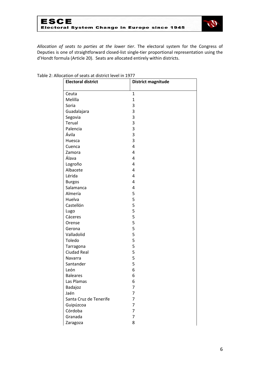

*Allocation of seats to parties at the lower tier*. The electoral system for the Congress of Deputies is one of straightforward closed-list single-tier proportional representation using the d'Hondt formula (Article 20). Seats are allocated entirely within districts.

| <b>Electoral district</b> | <b>District magnitude</b> |
|---------------------------|---------------------------|
| Ceuta                     | $\mathbf{1}$              |
| Melilla                   | $\mathbf{1}$              |
| Soria                     | 3                         |
| Guadalajara               | 3                         |
| Segovia                   | 3                         |
| Terual                    | 3                         |
| Palencia                  | 3                         |
| Ávila                     | 3                         |
| Huesca                    | 3                         |
| Cuenca                    | 4                         |
| Zamora                    | 4                         |
| Álava                     | 4                         |
| Logroño                   | 4                         |
| Albacete                  | 4                         |
| Lérida                    | 4                         |
| <b>Burgos</b>             | 4                         |
| Salamanca                 | 4                         |
| Almería                   | 5                         |
| Huelva                    | 5                         |
| Castellón                 | 5                         |
| Lugo                      | 5                         |
| Cáceres                   | 5                         |
| Orense                    | 5                         |
| Gerona                    | 5                         |
| Valladolid                | 5                         |
| Toledo                    | 5                         |
| Tarragona                 | 5                         |
| <b>Ciudad Real</b>        | 5                         |
| Navarra                   | 5                         |
| Santander                 | 5                         |
| León                      | 6                         |
| <b>Baleares</b>           | 6                         |
| Las Plamas                | 6                         |
|                           | 7                         |
| Badajoz<br>Jaén           | 7                         |
| Santa Cruz de Tenerife    | 7                         |
|                           | 7                         |
| Guipúzcoa                 | 7                         |
| Córdoba<br>Granada        |                           |
|                           | $\overline{7}$            |
| Zaragoza                  | 8                         |

Table 2: Allocation of seats at district level in 1977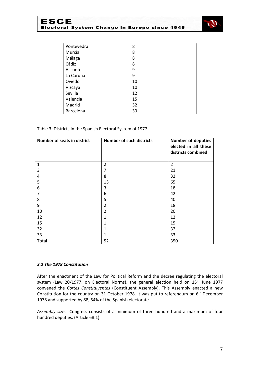

| Pontevedra | 8  |
|------------|----|
| Murcia     | 8  |
| Málaga     | 8  |
| Cádiz      | 8  |
| Alicante   | 9  |
| La Coruña  | 9  |
| Oviedo     | 10 |
| Vizcaya    | 10 |
| Sevilla    | 12 |
| Valencia   | 15 |
| Madrid     | 32 |
| Barcelona  | 33 |

#### Table 3: Districts in the Spanish Electoral System of 1977

| Number of seats in district | <b>Number of such districts</b> | <b>Number of deputies</b><br>elected in all these<br>districts combined |
|-----------------------------|---------------------------------|-------------------------------------------------------------------------|
| $\mathbf 1$                 | $\overline{2}$                  | $\overline{2}$                                                          |
| 3                           | 7                               | 21                                                                      |
| 4                           | 8                               | 32                                                                      |
| 5                           | 13                              | 65                                                                      |
| 6                           | 3                               | 18                                                                      |
| 7                           | 6                               | 42                                                                      |
| 8                           | 5                               | 40                                                                      |
| 9                           | 2                               | 18                                                                      |
| 10                          | 2                               | 20                                                                      |
| 12                          | 1                               | 12                                                                      |
| 15                          | 1                               | 15                                                                      |
| 32                          | 1                               | 32                                                                      |
| 33                          | 1                               | 33                                                                      |
| Total                       | 52                              | 350                                                                     |

#### *3.2 The 1978 Constitution*

After the enactment of the Law for Political Reform and the decree regulating the electoral system (Law 20/1977, on Electoral Norms), the general election held on  $15^{th}$  June 1977 convened the *Cortes Constituyentes* (Constituent Assembly). This Assembly enacted a new Constitution for the country on 31 October 1978. It was put to referendum on  $6^{th}$  December 1978 and supported by 88, 54% of the Spanish electorate.

*Assembly size*. Congress consists of a minimum of three hundred and a maximum of four hundred deputies. (Article 68.1)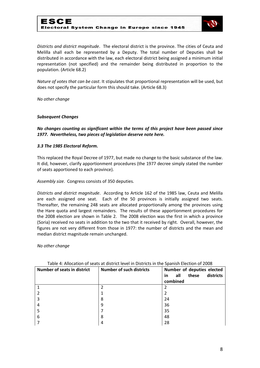## ESCE Electoral System Change in Europe since 1945



*Districts and district magnitude*. The electoral district is the province. The cities of Ceuta and Melilla shall each be represented by a Deputy. The total number of Deputies shall be distributed in accordance with the law, each electoral district being assigned a minimum initial representation (not specified) and the remainder being distributed in proportion to the population. (Article 68.2)

*Nature of votes that can be cast*. It stipulates that proportional representation will be used, but does not specify the particular form this should take. (Article 68.3)

*No other change*

#### *Subsequent Changes*

*No changes counting as significant within the terms of this project have been passed since 1977. Nevertheless, two pieces of legislation deserve note here.*

#### *3.3 The 1985 Electoral Reform.*

This replaced the Royal Decree of 1977, but made no change to the basic substance of the law. It did, however, clarify apportionment procedures (the 1977 decree simply stated the number of seats apportioned to each province).

*Assembly size*. Congress consists of 350 deputies.

*Districts and district magnitude*. According to Article 162 of the 1985 law, Ceuta and Melilla are each assigned one seat. Each of the 50 provinces is initially assigned two seats. Thereafter, the remaining 248 seats are allocated proportionally among the provinces using the Hare quota and largest remainders. The results of these apportionment procedures for the 2008 election are shown in Table 2. The 2008 election was the first in which a province (Soria) received no seats in addition to the two that it received by right. Overall, however, the figures are not very different from those in 1977: the number of districts and the mean and median district magnitude remain unchanged.

*No other change*

| <b>Number of seats in district</b> | <b>Number of such districts</b> | Number of deputies elected      |
|------------------------------------|---------------------------------|---------------------------------|
|                                    |                                 | districts<br>all<br>these<br>in |
|                                    |                                 | combined                        |
|                                    | 2                               |                                 |
|                                    |                                 |                                 |
| 3                                  | 8                               | 24                              |
| 4                                  | 9                               | 36                              |
| 5                                  |                                 | 35                              |
| 6                                  | 8                               | 48                              |
|                                    | 4                               | 28                              |

#### Table 4: Allocation of seats at district level in Districts in the Spanish Election of 2008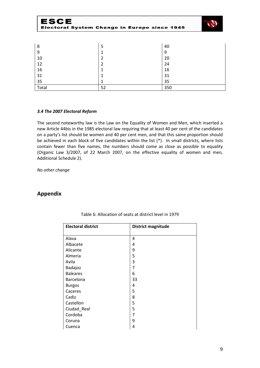| ヒゝしヒ  | <b>Electoral System Change in Europe since 1945</b> |     |  |
|-------|-----------------------------------------------------|-----|--|
|       |                                                     |     |  |
| 8     | 5                                                   | 40  |  |
| 9     | 1                                                   | 9   |  |
| 10    | 2                                                   | 20  |  |
| 12    | 2                                                   | 24  |  |
| 16    |                                                     | 16  |  |
| 31    |                                                     | 31  |  |
| 35    |                                                     | 35  |  |
| Total | 52                                                  | 350 |  |

#### *3.4 The 2007 Electoral Reform*

The second noteworthy law is the Law on the Equality of Women and Men, which inserted a new Article 44bis in the 1985 electoral law requiring that at least 40 per cent of the candidates on a party's list should be women and 40 per cent men, and that this same proportion should be achieved in each block of five candidates within the list (\*). In small districts, where lists contain fewer than five names, the numbers should come as close as possible to equality (Organic Law 3/2007, of 22 March 2007, on the effective equality of women and men, Additional Schedule 2).

*No other change*

### **Appendix**

| <b>Electoral district</b> | District magnitude |
|---------------------------|--------------------|
|                           |                    |
| Alava                     | 4                  |
| Albacete                  | 4                  |
| Alicante                  | 9                  |
| Almeria                   | 5                  |
| Avila                     | 3                  |
| Badajoz                   | 7                  |
| <b>Baleares</b>           | 6                  |
| Barcelona                 | 33                 |
| <b>Burgos</b>             | 4                  |
| Caceres                   | 5                  |
| Cadiz                     | 8                  |
| Castellon                 | 5                  |
| Ciudad_Real               | 5                  |
| Cordoba                   | 7                  |
| Coruna                    | 9                  |
| Cuenca                    | 4                  |

#### Table 6: Allocation of seats at district level in 1979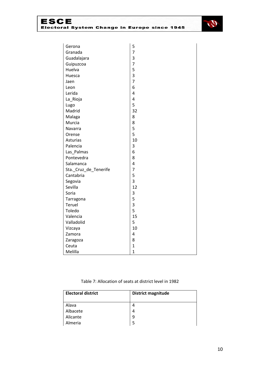

| Gerona                | 5                       |
|-----------------------|-------------------------|
| Granada               | $\overline{7}$          |
| Guadalajara           | 3                       |
| Guipuzcoa             | $\overline{7}$          |
| Huelva                | 5                       |
| Huesca                | 3                       |
| Jaen                  | $\overline{7}$          |
| Leon                  | 6                       |
| Lerida                | 4                       |
| La_Rioja              | 4                       |
| Lugo                  | 5                       |
| Madrid                | 32                      |
| Malaga                | 8                       |
| Murcia                | 8                       |
| Navarra               | 5                       |
| Orense                | 5                       |
| Asturias              | 10                      |
| Palencia              | 3                       |
| Las_Palmas            | 6                       |
| Pontevedra            | 8                       |
| Salamanca             | 4                       |
| Sta._Cruz_de_Tenerife | $\overline{7}$          |
| Cantabria             | 5                       |
| Segovia               | $\overline{3}$          |
| Sevilla               | 12                      |
| Soria                 | 3                       |
| Tarragona             | 5                       |
| Teruel                | $\overline{\mathbf{3}}$ |
| Toledo                | 5                       |
| Valencia              | 15                      |
| Valladolid            | 5                       |
| Vizcaya               | 10                      |
| Zamora                | 4                       |
| Zaragoza              | 8                       |
| Ceuta                 | $\mathbf{1}$            |
| Melilla               | $\overline{1}$          |

#### Table 7: Allocation of seats at district level in 1982

| <b>Electoral district</b> | <b>District magnitude</b> |
|---------------------------|---------------------------|
|                           |                           |
| Alava                     | 4                         |
| Albacete                  | 4                         |
| Alicante                  | 9                         |
| Almeria                   | 5                         |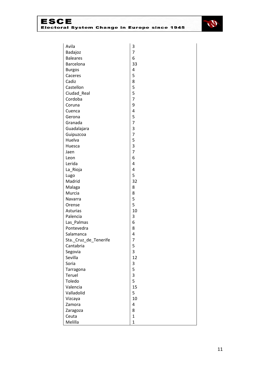

| Avila                 | 3                       |
|-----------------------|-------------------------|
| Badajoz               | 7                       |
| <b>Baleares</b>       | 6                       |
| Barcelona             | 33                      |
| <b>Burgos</b>         | $\overline{\mathbf{r}}$ |
| Caceres               | 5                       |
| Cadiz                 | 8                       |
| Castellon             | 5                       |
| Ciudad_Real           | 5                       |
| Cordoba               | $\overline{7}$          |
| Coruna                | 9                       |
| Cuenca                | 4                       |
| Gerona                | 5                       |
| Granada               | $\overline{7}$          |
| Guadalajara           | 3                       |
| Guipuzcoa             | $\overline{7}$          |
| Huelva                | 5                       |
| Huesca                | 3                       |
| Jaen                  | 7                       |
| Leon                  | 6                       |
| Lerida                | 4                       |
| La_Rioja              | 4                       |
| Lugo                  | 5                       |
| Madrid                | 32                      |
| Malaga                | 8                       |
| Murcia                | 8                       |
| Navarra               | 5                       |
| Orense                | 5                       |
| Asturias              | 10                      |
| Palencia              | 3                       |
| Las_Palmas            | 6                       |
| Pontevedra            | 8                       |
| Salamanca             | 4                       |
| Sta._Cruz_de_Tenerife | 7                       |
| Cantabria             | 5                       |
| Segovia               | 3                       |
| Sevilla               | 12                      |
| Soria                 | 3                       |
| Tarragona             | 5                       |
| Teruel                | 3                       |
| Toledo                | 5                       |
| Valencia              | 15                      |
| Valladolid            | 5                       |
| Vizcaya               | 10                      |
| Zamora                | 4                       |
| Zaragoza              | 8                       |
| Ceuta                 | $\mathbf{1}$            |
| Melilla               | $\mathbf{1}$            |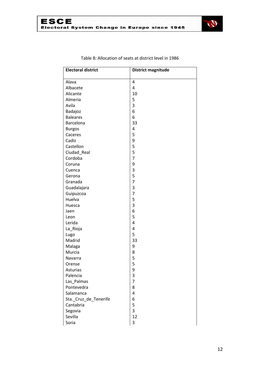



| <b>Electoral district</b> | District magnitude |
|---------------------------|--------------------|
|                           |                    |
| Alava                     | 4                  |
| Albacete                  | 4                  |
| Alicante                  | 10                 |
| Almeria                   | 5                  |
| Avila                     | 3                  |
| Badajoz                   | 6                  |
| <b>Baleares</b>           | 6                  |
| Barcelona                 | 33                 |
| <b>Burgos</b>             | 4                  |
| Caceres                   | 5                  |
| Cadiz                     | 9                  |
| Castellon                 | 5                  |
| Ciudad_Real               | 5                  |
| Cordoba                   | $\overline{7}$     |
| Coruna                    | 9                  |
| Cuenca                    | 3                  |
| Gerona                    | 5                  |
| Granada                   | $\overline{7}$     |
| Guadalajara               | 3                  |
| Guipuzcoa                 | $\overline{7}$     |
| Huelva                    | 5                  |
| Huesca                    | 3                  |
| Jaen                      | 6                  |
| Leon                      | 5                  |
| Lerida                    | $\overline{4}$     |
| La_Rioja                  | $\overline{4}$     |
| Lugo                      | 5                  |
| Madrid                    | 33                 |
| Malaga                    | 9                  |
| Murcia                    | 8                  |
| Navarra                   | 5                  |
| Orense                    | 5                  |
| Asturias                  | 9                  |
| Palencia                  | 3                  |
| Las_Palmas                | $\overline{7}$     |
| Pontevedra                | 8                  |
| Salamanca                 | 4                  |
| Sta._Cruz_de_Tenerife     | 6                  |
| Cantabria                 | 5                  |
| Segovia                   | 3                  |
| Sevilla                   | 12                 |
| Soria                     | 3                  |

Table 8: Allocation of seats at district level in 1986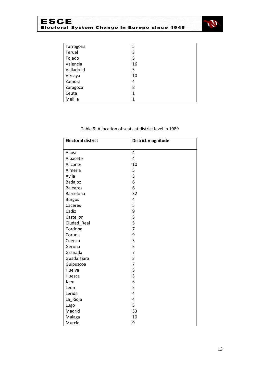

| Tarragona  | 5            |
|------------|--------------|
| Teruel     | 3            |
| Toledo     | 5            |
| Valencia   | 16           |
| Valladolid | 5            |
| Vizcaya    | 10           |
| Zamora     | 4            |
| Zaragoza   | 8            |
| Ceuta      | $\mathbf{1}$ |
| Melilla    | 1            |

#### Table 9: Allocation of seats at district level in 1989

| <b>Electoral district</b> | <b>District magnitude</b> |
|---------------------------|---------------------------|
|                           |                           |
| Alava                     | 4                         |
| Albacete                  | 4                         |
| Alicante                  | 10                        |
| Almeria                   | 5                         |
| Avila                     | 3                         |
| Badajoz                   | 6                         |
| <b>Baleares</b>           | 6                         |
| Barcelona                 | 32                        |
| <b>Burgos</b>             | 4                         |
| Caceres                   | 5                         |
| Cadiz                     | 9                         |
| Castellon                 | 5                         |
| Ciudad_Real               | 5                         |
| Cordoba                   | $\overline{7}$            |
| Coruna                    | 9                         |
| Cuenca                    | 3                         |
| Gerona                    | 5                         |
| Granada                   | $\overline{7}$            |
| Guadalajara               | 3                         |
| Guipuzcoa                 | $\overline{7}$            |
| Huelva                    | 5                         |
| Huesca                    | $\overline{3}$            |
| Jaen                      | 6                         |
| Leon                      | 5                         |
| Lerida                    | $\overline{4}$            |
| La_Rioja                  | 4                         |
| Lugo                      | 5                         |
| Madrid                    | 33                        |
| Malaga                    | 10                        |
| Murcia                    | 9                         |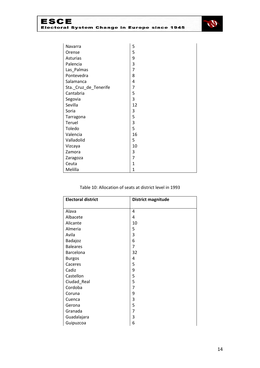

| Navarra               | 5              |
|-----------------------|----------------|
| Orense                | 5              |
| Asturias              | 9              |
| Palencia              | 3              |
| Las_Palmas            | $\overline{7}$ |
| Pontevedra            | 8              |
| Salamanca             | 4              |
| Sta._Cruz_de_Tenerife | 7              |
| Cantabria             | 5              |
| Segovia               | 3              |
| Sevilla               | 12             |
| Soria                 | 3              |
| Tarragona             | 5              |
| Teruel                | 3              |
| Toledo                | 5              |
| Valencia              | 16             |
| Valladolid            | 5              |
| Vizcaya               | 10             |
| Zamora                | 3              |
| Zaragoza              | $\overline{7}$ |
| Ceuta                 | 1              |
| Melilla               | $\mathbf{1}$   |

#### Table 10: Allocation of seats at district level in 1993

| <b>Electoral district</b> | <b>District magnitude</b> |
|---------------------------|---------------------------|
|                           |                           |
| Alava                     | 4                         |
| Albacete                  | 4                         |
| Alicante                  | 10                        |
| Almeria                   | 5                         |
| Avila                     | 3                         |
| Badajoz                   | 6                         |
| <b>Baleares</b>           | 7                         |
| Barcelona                 | 32                        |
| <b>Burgos</b>             | 4                         |
| Caceres                   | 5                         |
| Cadiz                     | 9                         |
| Castellon                 | 5                         |
| Ciudad_Real               | 5                         |
| Cordoba                   | $\overline{7}$            |
| Coruna                    | 9                         |
| Cuenca                    | 3                         |
| Gerona                    | 5                         |
| Granada                   | 7                         |
| Guadalajara               | 3                         |
| Guipuzcoa                 | 6                         |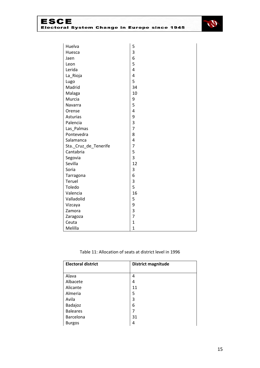

| Huelva                | 5              |
|-----------------------|----------------|
| Huesca                | 3              |
| Jaen                  | 6              |
| Leon                  | 5              |
| Lerida                | 4              |
| La_Rioja              | $\overline{a}$ |
| Lugo                  | 5              |
| Madrid                | 34             |
| Malaga                | 10             |
| Murcia                | 9              |
| Navarra               | 5              |
| Orense                | 4              |
| Asturias              | 9              |
| Palencia              | 3              |
| Las_Palmas            | $\overline{7}$ |
| Pontevedra            | 8              |
| Salamanca             | $\overline{a}$ |
| Sta._Cruz_de_Tenerife | $\overline{7}$ |
| Cantabria             | 5              |
| Segovia               | 3              |
| Sevilla               | 12             |
| Soria                 | 3              |
| Tarragona             | 6              |
| Teruel                | 3              |
| Toledo                | 5              |
| Valencia              | 16             |
| Valladolid            | 5              |
| Vizcaya               | 9              |
| Zamora                | 3              |
| Zaragoza              | $\overline{7}$ |
| Ceuta                 | $\overline{1}$ |
| Melilla               | $\overline{1}$ |

#### Table 11: Allocation of seats at district level in 1996

| <b>Electoral district</b> | District magnitude |
|---------------------------|--------------------|
|                           |                    |
| Alava                     | 4                  |
| Albacete                  | 4                  |
| Alicante                  | 11                 |
| Almeria                   | 5                  |
| Avila                     | 3                  |
| Badajoz                   | 6                  |
| <b>Baleares</b>           | 7                  |
| Barcelona                 | 31                 |
| <b>Burgos</b>             | 4                  |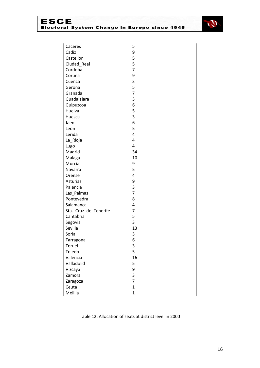

| Caceres               | 5                       |
|-----------------------|-------------------------|
| Cadiz                 | 9                       |
| Castellon             | 5                       |
| Ciudad_Real           | 5                       |
| Cordoba               | $\overline{7}$          |
| Coruna                | 9                       |
| Cuenca                | 3                       |
| Gerona                | 5                       |
| Granada               | $\overline{7}$          |
| Guadalajara           | 3                       |
| Guipuzcoa             | 6                       |
| Huelva                | 5                       |
| Huesca                | 3                       |
| Jaen                  | 6                       |
| Leon                  | 5                       |
| Lerida                | 4                       |
| La_Rioja              | $\overline{a}$          |
| Lugo                  | $\overline{4}$          |
| Madrid                | 34                      |
| Malaga                | 10                      |
| Murcia                | 9                       |
| Navarra               | 5                       |
| Orense                | $\overline{a}$          |
| Asturias              | 9                       |
| Palencia              | 3                       |
| Las_Palmas            | $\overline{7}$          |
| Pontevedra            | 8                       |
| Salamanca             | $\overline{a}$          |
| Sta._Cruz_de_Tenerife | $\overline{7}$          |
| Cantabria             | 5                       |
| Segovia               | 3                       |
| Sevilla               | 13                      |
| Soria                 | 3                       |
| Tarragona             | 6                       |
| Teruel                | 3                       |
| Toledo                | 5                       |
| Valencia              | 16                      |
| Valladolid            | 5                       |
| Vizcaya               | 9                       |
| Zamora                | $\overline{\mathbf{3}}$ |
| Zaragoza              | $\overline{7}$          |
| Ceuta                 | $\mathbf{1}$            |
| Melilla               | $\overline{1}$          |

#### Table 12: Allocation of seats at district level in 2000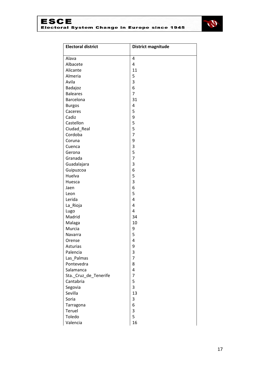

| <b>Electoral district</b> | <b>District magnitude</b> |
|---------------------------|---------------------------|
| Alava                     | 4                         |
| Albacete                  | 4                         |
| Alicante                  | 11                        |
| Almeria                   | 5                         |
| Avila                     | 3                         |
| Badajoz                   | 6                         |
| <b>Baleares</b>           | $\overline{7}$            |
| Barcelona                 | 31                        |
| <b>Burgos</b>             | 4                         |
| Caceres                   | 5                         |
| Cadiz                     | 9                         |
| Castellon                 | 5                         |
| Ciudad_Real               | 5                         |
| Cordoba                   | $\overline{7}$            |
| Coruna                    | 9                         |
| Cuenca                    | 3                         |
| Gerona                    | 5                         |
| Granada                   | $\overline{7}$            |
| Guadalajara               | 3                         |
| Guipuzcoa                 | 6                         |
| Huelva                    | 5                         |
| Huesca                    | 3                         |
| Jaen                      | 6                         |
| Leon                      | 5                         |
| Lerida                    | 4                         |
| La_Rioja                  | 4                         |
| Lugo                      | 4                         |
| Madrid                    | 34                        |
| Malaga                    | 10                        |
| Murcia                    | 9                         |
| Navarra                   | 5                         |
| Orense                    | 4                         |
| Asturias                  | 9                         |
| Palencia                  | 3                         |
| Las_Palmas                | $\overline{7}$            |
| Pontevedra                | 8                         |
| Salamanca                 | 4                         |
| Sta. Cruz de Tenerife     | $\overline{7}$            |
| Cantabria                 | 5                         |
| Segovia                   | $\overline{3}$            |
| Sevilla                   | 13                        |
| Soria                     | 3                         |
| Tarragona                 | 6                         |
| Teruel                    | 3                         |
| Toledo                    | 5                         |
| Valencia                  | 16                        |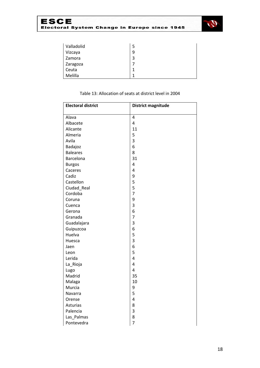

| Valladolid | 5           |
|------------|-------------|
| Vizcaya    | 9           |
| Zamora     | 3           |
| Zaragoza   |             |
| Ceuta      | $\mathbf 1$ |
| Melilla    | 1           |

| <b>Electoral district</b> | <b>District magnitude</b> |
|---------------------------|---------------------------|
|                           |                           |
| Alava                     | $\overline{4}$            |
| Albacete                  | 4                         |
| Alicante                  | 11                        |
| Almeria                   | 5                         |
| Avila                     | 3                         |
| Badajoz                   | 6                         |
| <b>Baleares</b>           | 8                         |
| Barcelona                 | 31                        |
| <b>Burgos</b>             | 4                         |
| Caceres                   | 4                         |
| Cadiz                     | 9                         |
| Castellon                 | 5                         |
| Ciudad_Real               | 5                         |
| Cordoba                   | $\overline{7}$            |
| Coruna                    | 9                         |
| Cuenca                    | 3                         |
| Gerona                    | 6                         |
| Granada                   | $\overline{7}$            |
| Guadalajara               | 3                         |
| Guipuzcoa                 | 6                         |
| Huelva                    | 5                         |
| Huesca                    | 3                         |
| Jaen                      | 6                         |
| Leon                      | 5                         |
| Lerida                    | 4                         |
| La_Rioja                  | 4                         |
| Lugo                      | $\overline{\mathbf{4}}$   |
| Madrid                    | 35                        |
| Malaga                    | 10                        |
| Murcia                    | 9                         |
| Navarra                   | 5                         |
| Orense                    | 4                         |
| Asturias                  | 8                         |
| Palencia                  | 3                         |
| Las_Palmas                | 8                         |
| Pontevedra                | $\overline{7}$            |

#### Table 13: Allocation of seats at district level in 2004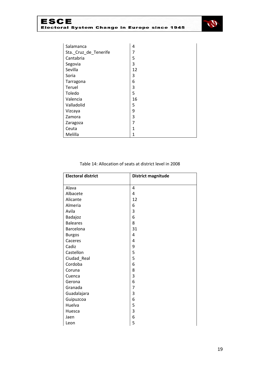

| Salamanca             | 4  |
|-----------------------|----|
| Sta._Cruz_de_Tenerife | 7  |
| Cantabria             | 5  |
| Segovia               | 3  |
| Sevilla               | 12 |
| Soria                 | 3  |
| Tarragona             | 6  |
| Teruel                | 3  |
| Toledo                | 5  |
| Valencia              | 16 |
| Valladolid            | 5  |
| Vizcaya               | 9  |
| Zamora                | 3  |
| Zaragoza              | 7  |
| Ceuta                 | 1  |
| Melilla               | 1  |

#### Table 14: Allocation of seats at district level in 2008

| <b>Electoral district</b> | <b>District magnitude</b> |
|---------------------------|---------------------------|
|                           |                           |
| Alava                     | 4                         |
| Albacete                  | 4                         |
| Alicante                  | 12                        |
| Almeria                   | 6                         |
| Avila                     | 3                         |
| Badajoz                   | 6                         |
| <b>Baleares</b>           | 8                         |
| Barcelona                 | 31                        |
| <b>Burgos</b>             | $\overline{4}$            |
| Caceres                   | 4                         |
| Cadiz                     | 9                         |
| Castellon                 | 5                         |
| Ciudad_Real               | 5                         |
| Cordoba                   | 6                         |
| Coruna                    | 8                         |
| Cuenca                    | 3                         |
| Gerona                    | 6                         |
| Granada                   | 7                         |
| Guadalajara               | 3                         |
| Guipuzcoa                 | 6                         |
| Huelva                    | 5                         |
| Huesca                    | 3                         |
| Jaen                      | 6                         |
| Leon                      | 5                         |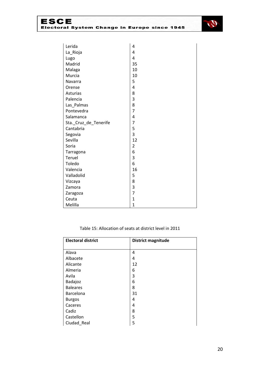

| Lerida                | 4              |
|-----------------------|----------------|
| La_Rioja              | 4              |
| Lugo                  | 4              |
| Madrid                | 35             |
| Malaga                | 10             |
| Murcia                | 10             |
| Navarra               | 5              |
| Orense                | 4              |
| Asturias              | 8              |
| Palencia              | 3              |
| Las_Palmas            | 8              |
| Pontevedra            | 7              |
| Salamanca             | 4              |
| Sta._Cruz_de_Tenerife | $\overline{7}$ |
| Cantabria             | 5              |
| Segovia               | 3              |
| Sevilla               | 12             |
| Soria                 | 2              |
| Tarragona             | 6              |
| Teruel                | 3              |
| Toledo                | 6              |
| Valencia              | 16             |
| Valladolid            | 5              |
| Vizcaya               | 8              |
| Zamora                | 3              |
| Zaragoza              | 7              |
| Ceuta                 | $\mathbf{1}$   |
| Melilla               | $\overline{1}$ |

#### Table 15: Allocation of seats at district level in 2011

| <b>Electoral district</b> | <b>District magnitude</b> |
|---------------------------|---------------------------|
|                           |                           |
| Alava                     | 4                         |
| Albacete                  | 4                         |
| Alicante                  | 12                        |
| Almeria                   | 6                         |
| Avila                     | 3                         |
| Badajoz                   | 6                         |
| <b>Baleares</b>           | 8                         |
| Barcelona                 | 31                        |
| <b>Burgos</b>             | 4                         |
| Caceres                   | 4                         |
| Cadiz                     | 8                         |
| Castellon                 | 5                         |
| Ciudad_Real               | 5                         |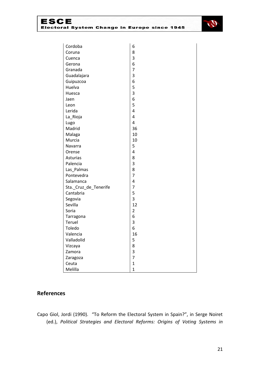

| Cordoba               | 6              |
|-----------------------|----------------|
| Coruna                | 8              |
| Cuenca                | 3              |
| Gerona                | 6              |
| Granada               | $\overline{7}$ |
| Guadalajara           | 3              |
| Guipuzcoa             | 6              |
| Huelva                | 5              |
| Huesca                | 3              |
| Jaen                  | 6              |
| Leon                  | 5              |
| Lerida                | 4              |
| La_Rioja              | 4              |
| Lugo                  | 4              |
| Madrid                | 36             |
| Malaga                | 10             |
| Murcia                | 10             |
| Navarra               | 5              |
| Orense                | 4              |
| Asturias              | 8              |
| Palencia              | 3              |
| Las_Palmas            | 8              |
| Pontevedra            | $\overline{7}$ |
| Salamanca             | 4              |
| Sta._Cruz_de_Tenerife | $\overline{7}$ |
| Cantabria             | 5              |
| Segovia               | 3              |
| Sevilla               | 12             |
| Soria                 | $\overline{2}$ |
| Tarragona             | 6              |
| Teruel                | 3              |
| Toledo                | 6              |
| Valencia              | 16             |
| Valladolid            | 5              |
| Vizcaya               | 8              |
| Zamora                | 3              |
| Zaragoza              | $\overline{7}$ |
| Ceuta                 | $\mathbf{1}$   |
| Melilla               | $\overline{1}$ |

# **References**

Capo Giol, Jordi (1990). "To Reform the Electoral System in Spain?", in Serge Noiret (ed.), *Political Strategies and Electoral Reforms: Origins of Voting Systems in*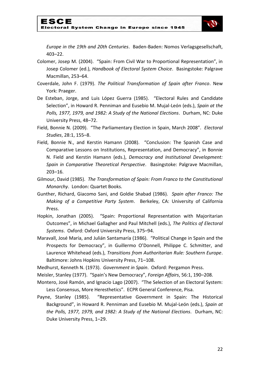

*Europe in the 19th and 20th Centuries*. Baden-Baden: Nomos Verlagsgesellschaft, 403–22.

- Colomer, Josep M. (2004). "Spain: From Civil War to Proportional Representation", in Josep Colomer (ed.), *Handbook of Electoral System Choice*. Basingstoke: Palgrave Macmillan, 253–64.
- Coverdale, John F. (1979). *The Political Transformation of Spain after Franco*. New York: Praeger.
- De Esteban, Jorge, and Luis López Guerra (1985). "Electoral Rules and Candidate Selection", in Howard R. Penniman and Eusebio M. Mujal-León (eds.), *Spain at the Polls, 1977, 1979, and 1982: A Study of the National Elections*. Durham, NC: Duke University Press, 48–72.
- Field, Bonnie N. (2009). "The Parliamentary Election in Spain, March 2008". *Electoral Studies*, 28:1, 155–8.
- Field, Bonnie N., and Kerstin Hamann (2008). "Conclusion: The Spanish Case and Comparative Lessons on Institutions, Representation, and Democracy", in Bonnie N. Field and Kerstin Hamann (eds.), *Democracy and Institutional Development: Spain in Comparative Theoretical Perspective*. Basingstoke: Palgrave Macmillan, 203–16.
- Gilmour, David (1985). *The Transformation of Spain: From Franco to the Constitutional Monarchy*. London: Quartet Books.
- Gunther, Richard, Giacomo Sani, and Goldie Shabad (1986). *Spain after Franco: The Making of a Competitive Party System*. Berkeley, CA: University of California Press.
- Hopkin, Jonathan (2005). "Spain: Proportional Representation with Majoritarian Outcomes", in Michael Gallagher and Paul Mitchell (eds.), *The Politics of Electoral Systems*. Oxford: Oxford University Press, 375–94.
- Maravall, José María, and Julián Santamaría (1986). "Political Change in Spain and the Prospects for Democracy", in Guillermo O'Donnell, Philippe C. Schmitter, and Laurence Whitehead (eds.), *Transitions from Authoritarian Rule: Southern Europe*. Baltimore: Johns Hopkins University Press, 71–108.

Medhurst, Kenneth N. (1973). *Government in Spain*. Oxford: Pergamon Press.

Meisler, Stanley (1977). "Spain's New Democracy", *Foreign Affairs*, 56:1, 190–208.

- Montero, José Ramón, and Ignacio Lago (2007). "The Selection of an Electoral System: Less Consensus, More Heresthetics". ECPR General Conference, Pisa.
- Payne, Stanley (1985). "Representative Government in Spain: The Historical Background", in Howard R. Penniman and Eusebio M. Mujal-León (eds.), *Spain at the Polls, 1977, 1979, and 1982: A Study of the National Elections*. Durham, NC: Duke University Press, 1–29.